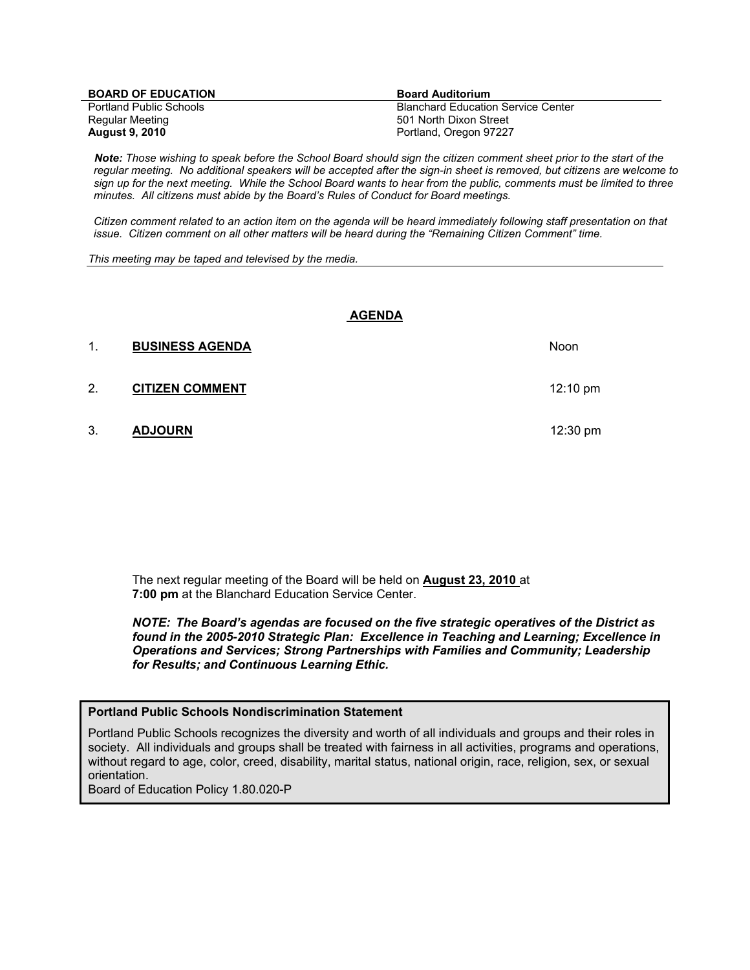| <b>BOARD OF EDUCATION</b>      | <b>Board Auditorium</b>                   |
|--------------------------------|-------------------------------------------|
| <b>Portland Public Schools</b> | <b>Blanchard Education Service Center</b> |
| Regular Meeting                | 501 North Dixon Street                    |
| <b>August 9, 2010</b>          | Portland, Oregon 97227                    |

 *Note: Those wishing to speak before the School Board should sign the citizen comment sheet prior to the start of the regular meeting. No additional speakers will be accepted after the sign-in sheet is removed, but citizens are welcome to sign up for the next meeting. While the School Board wants to hear from the public, comments must be limited to three minutes. All citizens must abide by the Board's Rules of Conduct for Board meetings.* 

 *Citizen comment related to an action item on the agenda will be heard immediately following staff presentation on that issue. Citizen comment on all other matters will be heard during the "Remaining Citizen Comment" time.* 

*This meeting may be taped and televised by the media.* 

#### **AGENDA**

| 1. | <b>BUSINESS AGENDA</b> | <b>Noon</b>        |
|----|------------------------|--------------------|
| 2. | <b>CITIZEN COMMENT</b> | $12:10 \text{ pm}$ |
| 3. | <b>ADJOURN</b>         | 12:30 $pm$         |

The next regular meeting of the Board will be held on **August 23, 2010** at **7:00 pm** at the Blanchard Education Service Center.

*NOTE: The Board's agendas are focused on the five strategic operatives of the District as found in the 2005-2010 Strategic Plan: Excellence in Teaching and Learning; Excellence in Operations and Services; Strong Partnerships with Families and Community; Leadership for Results; and Continuous Learning Ethic.* 

#### **Portland Public Schools Nondiscrimination Statement**

Portland Public Schools recognizes the diversity and worth of all individuals and groups and their roles in society. All individuals and groups shall be treated with fairness in all activities, programs and operations, without regard to age, color, creed, disability, marital status, national origin, race, religion, sex, or sexual orientation.

Board of Education Policy 1.80.020-P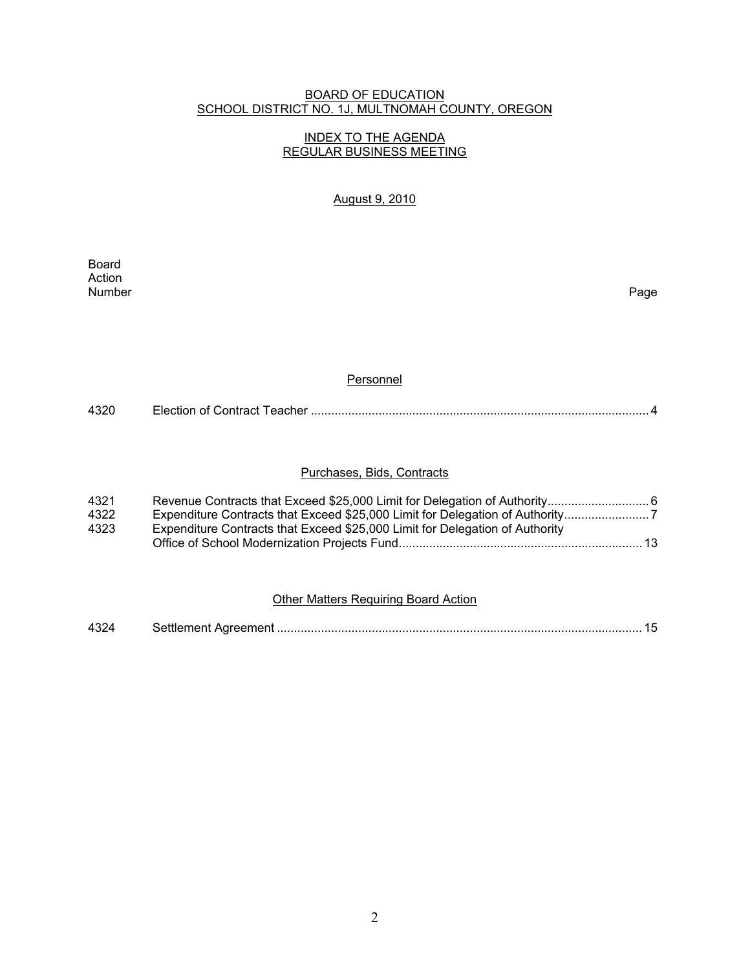## BOARD OF EDUCATION SCHOOL DISTRICT NO. 1J, MULTNOMAH COUNTY, OREGON

# INDEX TO THE AGENDA REGULAR BUSINESS MEETING

## August 9, 2010

**Board Board** Action<br>Number Number Page

### **Personnel**

| 4320 |  |
|------|--|
|      |  |

## Purchases, Bids, Contracts

| 4321 |                                                                              |
|------|------------------------------------------------------------------------------|
| 4322 | Expenditure Contracts that Exceed \$25,000 Limit for Delegation of Authority |
| 4323 | Expenditure Contracts that Exceed \$25,000 Limit for Delegation of Authority |
|      |                                                                              |

#### Other Matters Requiring Board Action

| 4324 |  |  |  |
|------|--|--|--|
|------|--|--|--|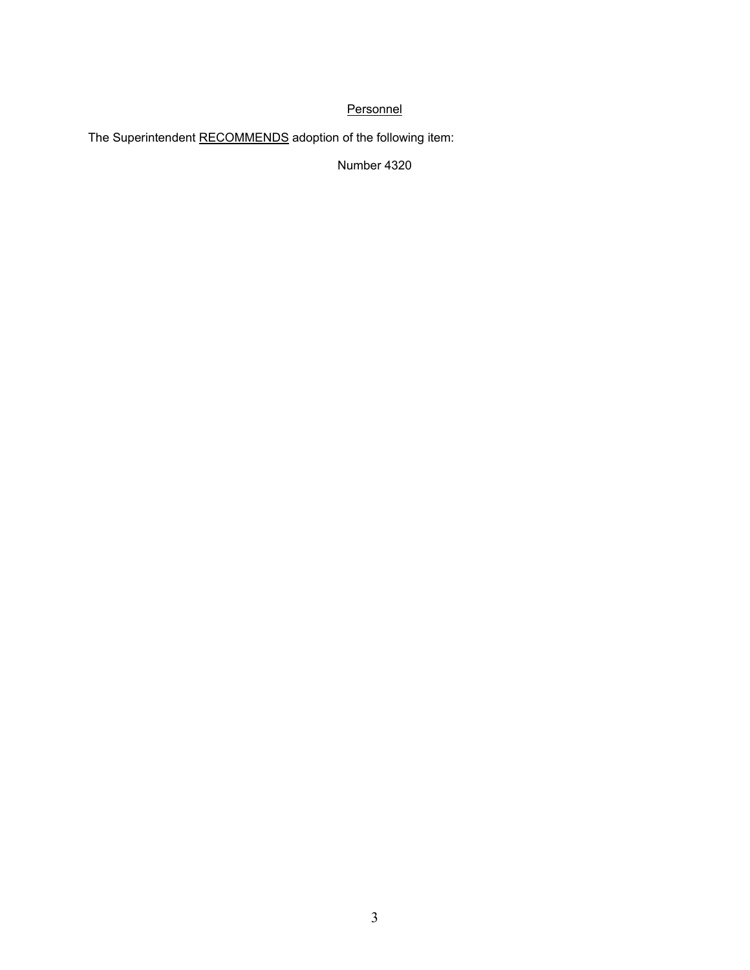# **Personnel**

The Superintendent RECOMMENDS adoption of the following item:

Number 4320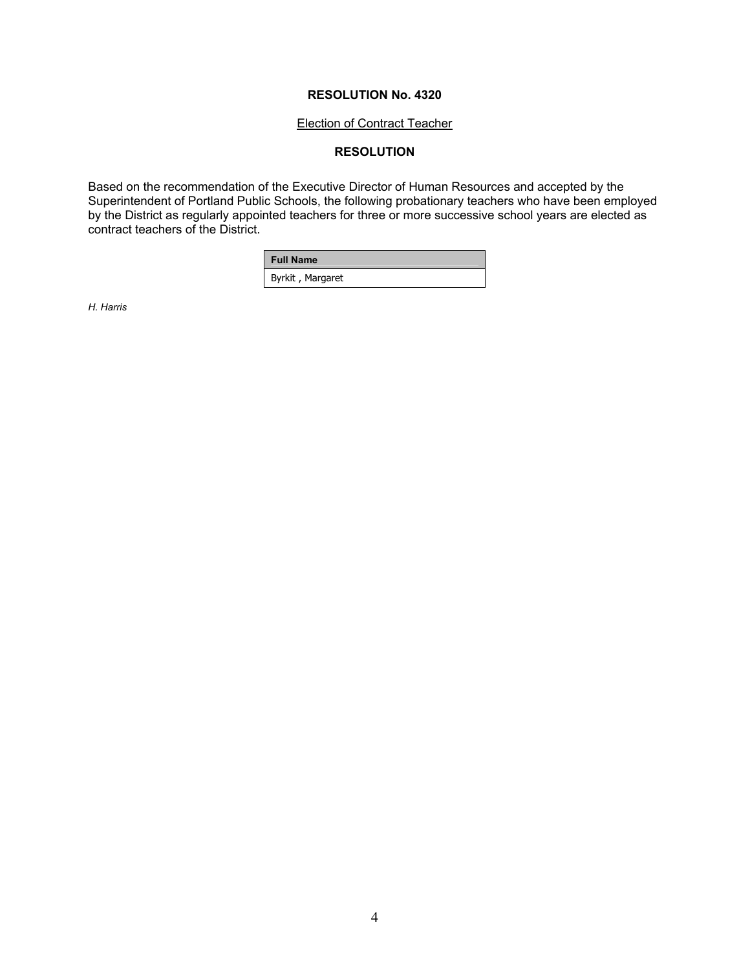#### Election of Contract Teacher

# **RESOLUTION**

Based on the recommendation of the Executive Director of Human Resources and accepted by the Superintendent of Portland Public Schools, the following probationary teachers who have been employed by the District as regularly appointed teachers for three or more successive school years are elected as contract teachers of the District.

| <b>Full Name</b> |  |
|------------------|--|
| Byrkit, Margaret |  |

*H. Harris*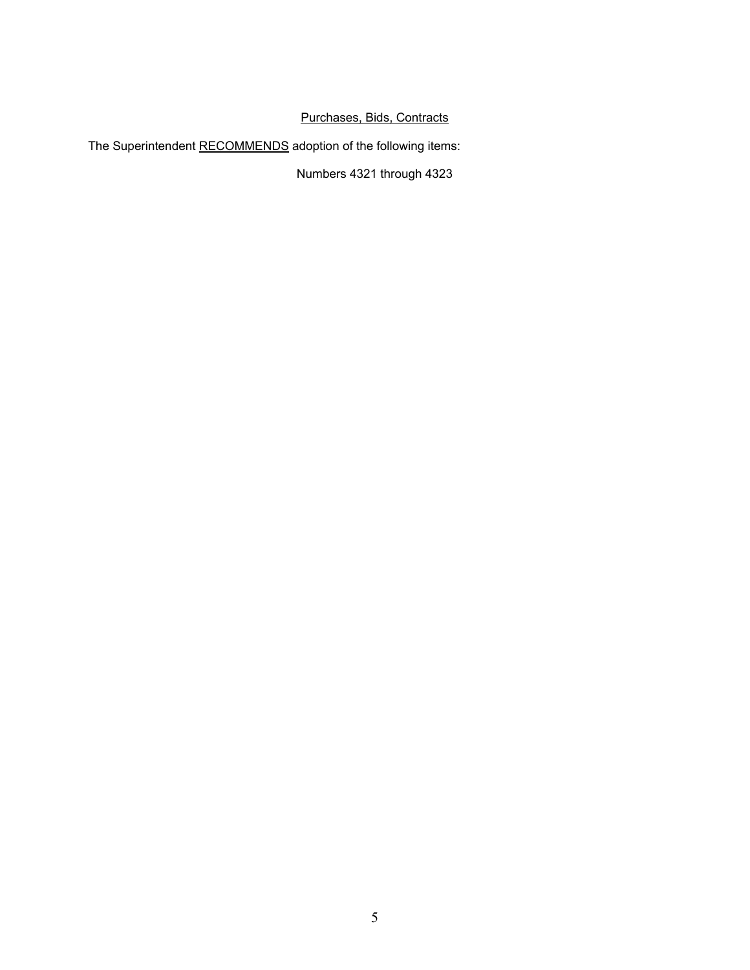# Purchases, Bids, Contracts

The Superintendent RECOMMENDS adoption of the following items:

Numbers 4321 through 4323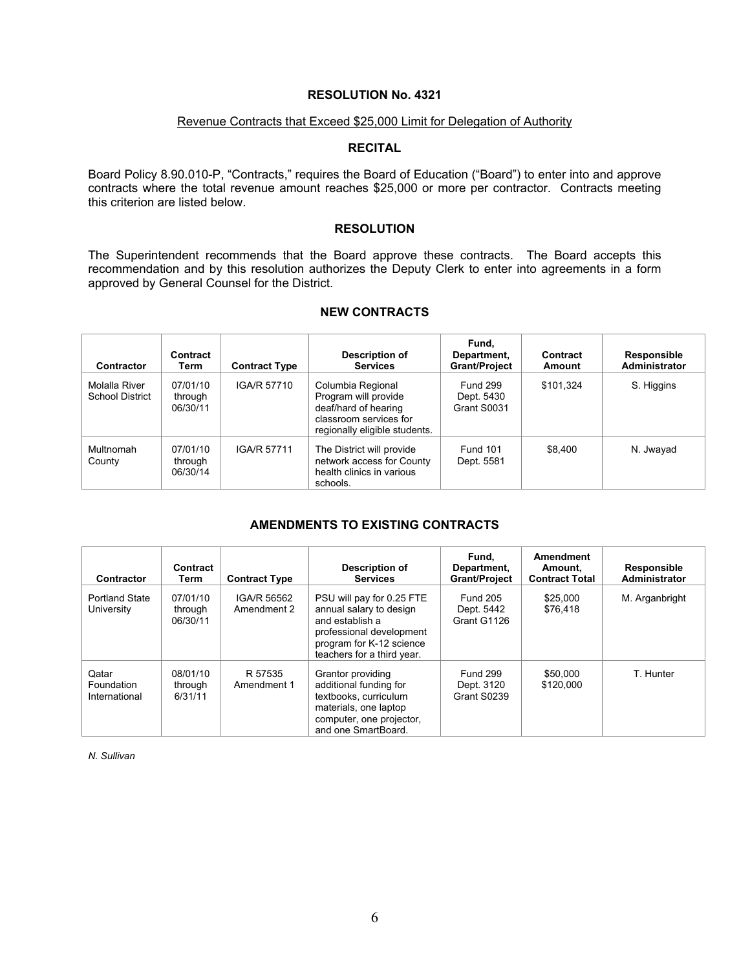#### Revenue Contracts that Exceed \$25,000 Limit for Delegation of Authority

### **RECITAL**

Board Policy 8.90.010-P, "Contracts," requires the Board of Education ("Board") to enter into and approve contracts where the total revenue amount reaches \$25,000 or more per contractor. Contracts meeting this criterion are listed below.

#### **RESOLUTION**

The Superintendent recommends that the Board approve these contracts. The Board accepts this recommendation and by this resolution authorizes the Deputy Clerk to enter into agreements in a form approved by General Counsel for the District.

# **NEW CONTRACTS**

| Contractor                              | Contract<br>Term                | <b>Contract Type</b> | Description of<br><b>Services</b>                                                                                            | Fund.<br>Department,<br><b>Grant/Project</b> | Contract<br>Amount | Responsible<br><b>Administrator</b> |
|-----------------------------------------|---------------------------------|----------------------|------------------------------------------------------------------------------------------------------------------------------|----------------------------------------------|--------------------|-------------------------------------|
| Molalla River<br><b>School District</b> | 07/01/10<br>through<br>06/30/11 | IGA/R 57710          | Columbia Regional<br>Program will provide<br>deaf/hard of hearing<br>classroom services for<br>regionally eligible students. | <b>Fund 299</b><br>Dept. 5430<br>Grant S0031 | \$101.324          | S. Higgins                          |
| Multnomah<br>County                     | 07/01/10<br>through<br>06/30/14 | IGA/R 57711          | The District will provide<br>network access for County<br>health clinics in various<br>schools.                              | Fund 101<br>Dept. 5581                       | \$8.400            | N. Jwayad                           |

#### **AMENDMENTS TO EXISTING CONTRACTS**

| Contractor                           | Contract<br>Term                | <b>Contract Type</b>       | Description of<br><b>Services</b>                                                                                                                             | Fund.<br>Department,<br><b>Grant/Project</b> | Amendment<br>Amount.<br><b>Contract Total</b> | <b>Responsible</b><br>Administrator |
|--------------------------------------|---------------------------------|----------------------------|---------------------------------------------------------------------------------------------------------------------------------------------------------------|----------------------------------------------|-----------------------------------------------|-------------------------------------|
| <b>Portland State</b><br>University  | 07/01/10<br>through<br>06/30/11 | IGA/R 56562<br>Amendment 2 | PSU will pay for 0.25 FTE<br>annual salary to design<br>and establish a<br>professional development<br>program for K-12 science<br>teachers for a third year. | <b>Fund 205</b><br>Dept. 5442<br>Grant G1126 | \$25,000<br>\$76,418                          | M. Arganbright                      |
| Qatar<br>Foundation<br>International | 08/01/10<br>through<br>6/31/11  | R 57535<br>Amendment 1     | Grantor providing<br>additional funding for<br>textbooks, curriculum<br>materials, one laptop<br>computer, one projector,<br>and one SmartBoard.              | <b>Fund 299</b><br>Dept. 3120<br>Grant S0239 | \$50,000<br>\$120,000                         | T. Hunter                           |

*N. Sullivan*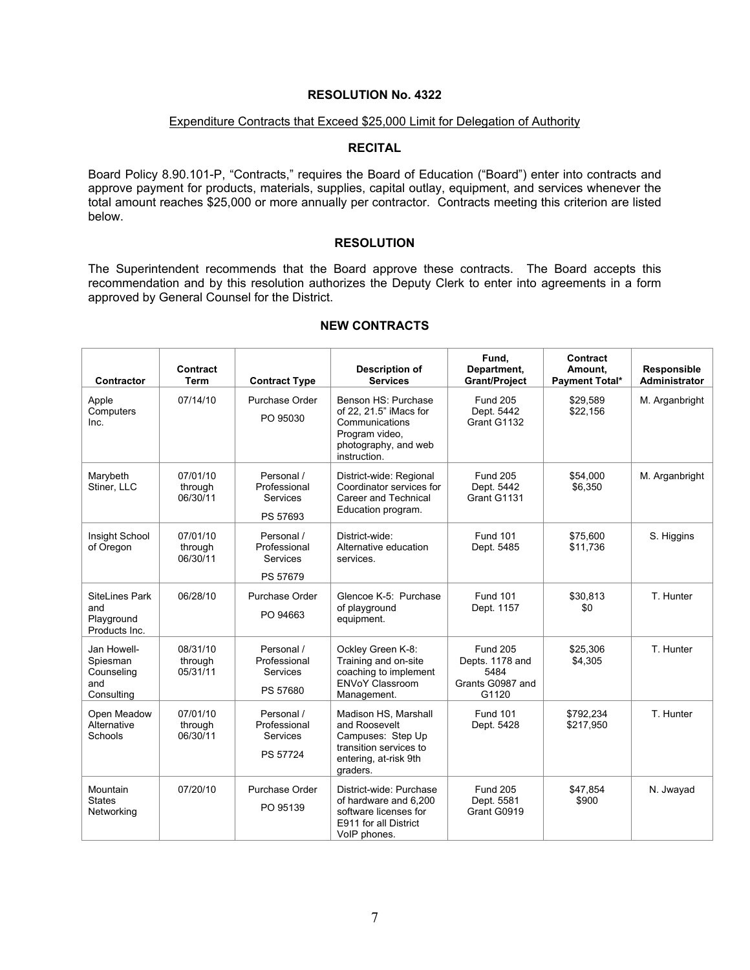## Expenditure Contracts that Exceed \$25,000 Limit for Delegation of Authority

### **RECITAL**

Board Policy 8.90.101-P, "Contracts," requires the Board of Education ("Board") enter into contracts and approve payment for products, materials, supplies, capital outlay, equipment, and services whenever the total amount reaches \$25,000 or more annually per contractor. Contracts meeting this criterion are listed below.

## **RESOLUTION**

The Superintendent recommends that the Board approve these contracts. The Board accepts this recommendation and by this resolution authorizes the Deputy Clerk to enter into agreements in a form approved by General Counsel for the District.

| <b>Contractor</b>                                          | Contract<br><b>Term</b>         | <b>Contract Type</b>                                      | <b>Description of</b><br><b>Services</b>                                                                                  | Fund,<br>Department,<br><b>Grant/Project</b>                            | <b>Contract</b><br>Amount,<br><b>Payment Total*</b> | Responsible<br><b>Administrator</b> |
|------------------------------------------------------------|---------------------------------|-----------------------------------------------------------|---------------------------------------------------------------------------------------------------------------------------|-------------------------------------------------------------------------|-----------------------------------------------------|-------------------------------------|
| Apple<br>Computers<br>Inc.                                 | 07/14/10                        | Purchase Order<br>PO 95030                                | Benson HS: Purchase<br>of 22, 21.5" iMacs for<br>Communications<br>Program video,<br>photography, and web<br>instruction. | <b>Fund 205</b><br>Dept. 5442<br>Grant G1132                            | \$29,589<br>\$22,156                                | M. Arganbright                      |
| Marybeth<br>Stiner, LLC                                    | 07/01/10<br>through<br>06/30/11 | Personal /<br>Professional<br><b>Services</b><br>PS 57693 | District-wide: Regional<br>Coordinator services for<br>Career and Technical<br>Education program.                         | <b>Fund 205</b><br>Dept. 5442<br>Grant G1131                            | \$54,000<br>\$6,350                                 | M. Arganbright                      |
| Insight School<br>of Oregon                                | 07/01/10<br>through<br>06/30/11 | Personal /<br>Professional<br>Services<br>PS 57679        | District-wide:<br>Alternative education<br>services.                                                                      | <b>Fund 101</b><br>Dept. 5485                                           | \$75,600<br>\$11,736                                | S. Higgins                          |
| SiteLines Park<br>and<br>Playground<br>Products Inc.       | 06/28/10                        | Purchase Order<br>PO 94663                                | Glencoe K-5: Purchase<br>of playground<br>equipment.                                                                      | <b>Fund 101</b><br>Dept. 1157                                           | \$30.813<br>\$0                                     | T. Hunter                           |
| Jan Howell-<br>Spiesman<br>Counseling<br>and<br>Consulting | 08/31/10<br>through<br>05/31/11 | Personal /<br>Professional<br><b>Services</b><br>PS 57680 | Ockley Green K-8:<br>Training and on-site<br>coaching to implement<br><b>ENVoY Classroom</b><br>Management.               | <b>Fund 205</b><br>Depts. 1178 and<br>5484<br>Grants G0987 and<br>G1120 | \$25,306<br>\$4,305                                 | T. Hunter                           |
| Open Meadow<br>Alternative<br>Schools                      | 07/01/10<br>through<br>06/30/11 | Personal /<br>Professional<br>Services<br>PS 57724        | Madison HS, Marshall<br>and Roosevelt<br>Campuses: Step Up<br>transition services to<br>entering, at-risk 9th<br>graders. | <b>Fund 101</b><br>Dept. 5428                                           | \$792,234<br>\$217,950                              | T. Hunter                           |
| Mountain<br><b>States</b><br>Networking                    | 07/20/10                        | Purchase Order<br>PO 95139                                | District-wide: Purchase<br>of hardware and 6.200<br>software licenses for<br>E911 for all District<br>VoIP phones.        | <b>Fund 205</b><br>Dept. 5581<br>Grant G0919                            | \$47,854<br>\$900                                   | N. Jwayad                           |

## **NEW CONTRACTS**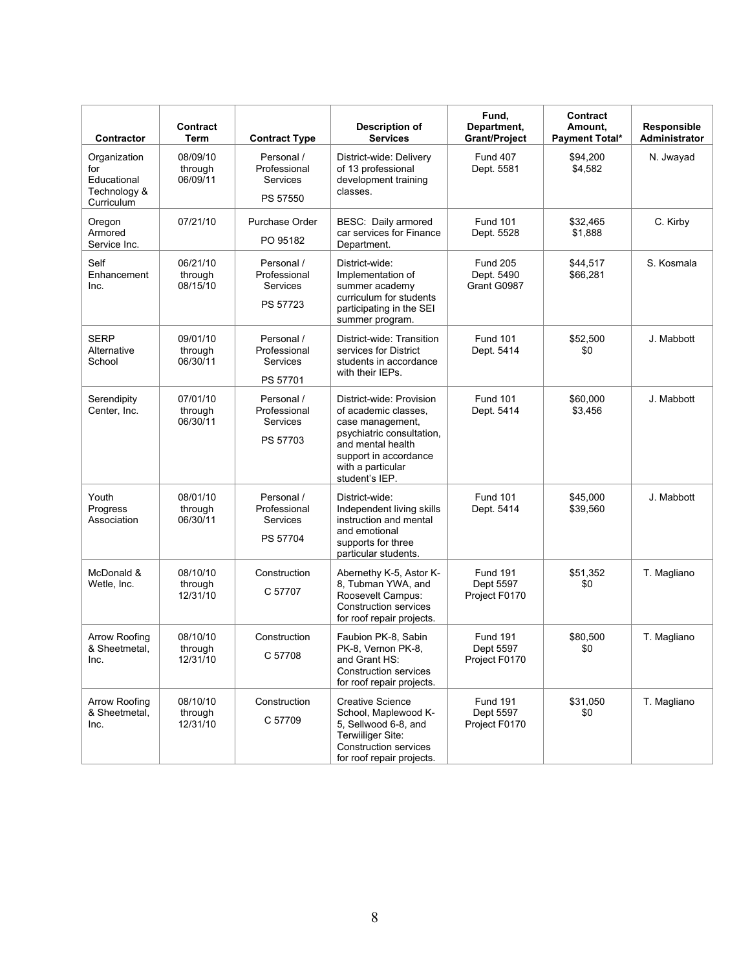| Contractor                                                       | Contract<br>Term                | <b>Contract Type</b>                               | <b>Description of</b><br><b>Services</b>                                                                                                                                               | Fund,<br>Department,<br><b>Grant/Project</b>  | <b>Contract</b><br>Amount,<br><b>Payment Total*</b> | Responsible<br>Administrator |
|------------------------------------------------------------------|---------------------------------|----------------------------------------------------|----------------------------------------------------------------------------------------------------------------------------------------------------------------------------------------|-----------------------------------------------|-----------------------------------------------------|------------------------------|
| Organization<br>for<br>Educational<br>Technology &<br>Curriculum | 08/09/10<br>through<br>06/09/11 | Personal /<br>Professional<br>Services<br>PS 57550 | District-wide: Delivery<br>of 13 professional<br>development training<br>classes.                                                                                                      | <b>Fund 407</b><br>Dept. 5581                 | \$94,200<br>\$4,582                                 | N. Jwayad                    |
| Oregon<br>Armored<br>Service Inc.                                | 07/21/10                        | Purchase Order<br>PO 95182                         | BESC: Daily armored<br>car services for Finance<br>Department.                                                                                                                         | <b>Fund 101</b><br>Dept. 5528                 | \$32,465<br>\$1,888                                 | C. Kirby                     |
| Self<br>Enhancement<br>Inc.                                      | 06/21/10<br>through<br>08/15/10 | Personal /<br>Professional<br>Services<br>PS 57723 | District-wide:<br>Implementation of<br>summer academy<br>curriculum for students<br>participating in the SEI<br>summer program.                                                        | <b>Fund 205</b><br>Dept. 5490<br>Grant G0987  | \$44,517<br>\$66,281                                | S. Kosmala                   |
| <b>SERP</b><br>Alternative<br>School                             | 09/01/10<br>through<br>06/30/11 | Personal /<br>Professional<br>Services<br>PS 57701 | District-wide: Transition<br>services for District<br>students in accordance<br>with their IEPs.                                                                                       | <b>Fund 101</b><br>Dept. 5414                 | \$52,500<br>\$0                                     | J. Mabbott                   |
| Serendipity<br>Center, Inc.                                      | 07/01/10<br>through<br>06/30/11 | Personal /<br>Professional<br>Services<br>PS 57703 | District-wide: Provision<br>of academic classes.<br>case management,<br>psychiatric consultation.<br>and mental health<br>support in accordance<br>with a particular<br>student's IEP. | <b>Fund 101</b><br>Dept. 5414                 | \$60,000<br>\$3,456                                 | J. Mabbott                   |
| Youth<br>Progress<br>Association                                 | 08/01/10<br>through<br>06/30/11 | Personal /<br>Professional<br>Services<br>PS 57704 | District-wide:<br>Independent living skills<br>instruction and mental<br>and emotional<br>supports for three<br>particular students.                                                   | <b>Fund 101</b><br>Dept. 5414                 | \$45,000<br>\$39,560                                | J. Mabbott                   |
| McDonald &<br>Wetle, Inc.                                        | 08/10/10<br>through<br>12/31/10 | Construction<br>C 57707                            | Abernethy K-5, Astor K-<br>8, Tubman YWA, and<br>Roosevelt Campus:<br><b>Construction services</b><br>for roof repair projects.                                                        | <b>Fund 191</b><br>Dept 5597<br>Project F0170 | \$51,352<br>\$0                                     | T. Magliano                  |
| Arrow Roofing<br>& Sheetmetal,<br>Inc.                           | 08/10/10<br>through<br>12/31/10 | Construction<br>C 57708                            | Faubion PK-8, Sabin<br>PK-8, Vernon PK-8,<br>and Grant HS:<br>Construction services<br>for roof repair projects.                                                                       | <b>Fund 191</b><br>Dept 5597<br>Project F0170 | \$80,500<br>\$0                                     | T. Magliano                  |
| Arrow Roofing<br>& Sheetmetal.<br>Inc.                           | 08/10/10<br>through<br>12/31/10 | Construction<br>C 57709                            | <b>Creative Science</b><br>School, Maplewood K-<br>5. Sellwood 6-8, and<br>Terwilliger Site:<br>Construction services<br>for roof repair projects.                                     | <b>Fund 191</b><br>Dept 5597<br>Project F0170 | \$31,050<br>\$0                                     | T. Magliano                  |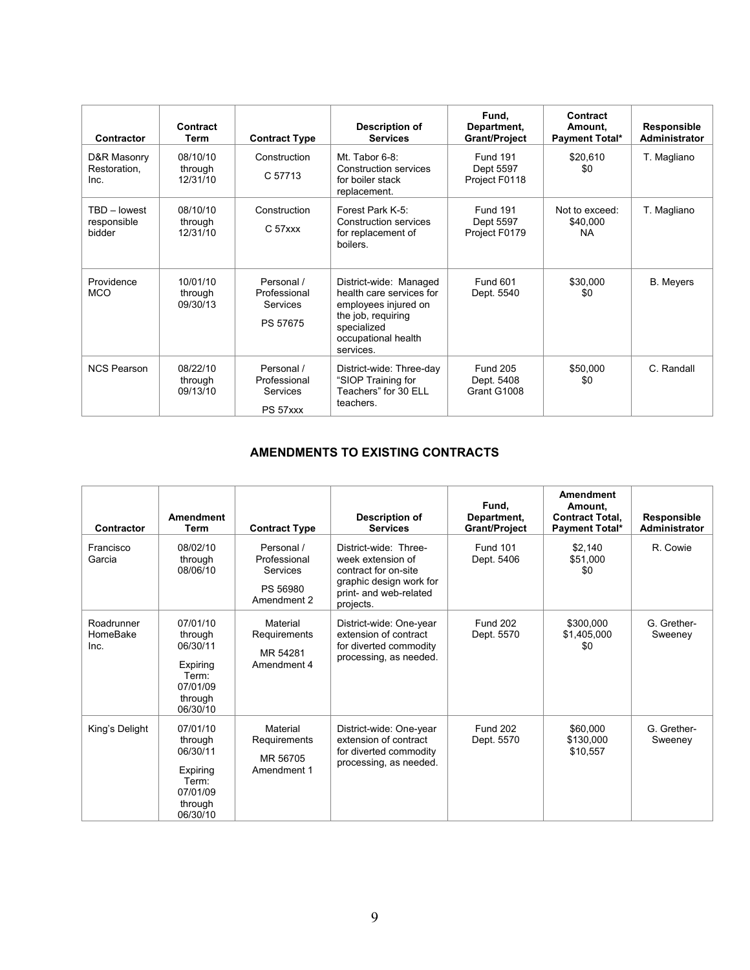| Contractor                            | Contract<br>Term                | <b>Contract Type</b>                               | Description of<br><b>Services</b>                                                                                                                   | Fund,<br>Department,<br><b>Grant/Project</b>  | Contract<br>Amount,<br><b>Payment Total*</b> | Responsible<br><b>Administrator</b> |
|---------------------------------------|---------------------------------|----------------------------------------------------|-----------------------------------------------------------------------------------------------------------------------------------------------------|-----------------------------------------------|----------------------------------------------|-------------------------------------|
| D&R Masonry<br>Restoration,<br>Inc.   | 08/10/10<br>through<br>12/31/10 | Construction<br>C 57713                            | Mt. Tabor 6-8:<br><b>Construction services</b><br>for boiler stack<br>replacement.                                                                  | <b>Fund 191</b><br>Dept 5597<br>Project F0118 | \$20,610<br>\$0                              | T. Magliano                         |
| TBD - lowest<br>responsible<br>bidder | 08/10/10<br>through<br>12/31/10 | Construction<br>$C57$ xxx                          | Forest Park K-5:<br>Construction services<br>for replacement of<br>boilers.                                                                         | <b>Fund 191</b><br>Dept 5597<br>Project F0179 | Not to exceed:<br>\$40,000<br><b>NA</b>      | T. Magliano                         |
| Providence<br><b>MCO</b>              | 10/01/10<br>through<br>09/30/13 | Personal /<br>Professional<br>Services<br>PS 57675 | District-wide: Managed<br>health care services for<br>employees injured on<br>the job, requiring<br>specialized<br>occupational health<br>services. | Fund 601<br>Dept. 5540                        | \$30,000<br>\$0                              | <b>B.</b> Meyers                    |
| <b>NCS Pearson</b>                    | 08/22/10<br>through<br>09/13/10 | Personal /<br>Professional<br>Services<br>PS 57xxx | District-wide: Three-day<br>"SIOP Training for<br>Teachers" for 30 ELL<br>teachers.                                                                 | <b>Fund 205</b><br>Dept. 5408<br>Grant G1008  | \$50,000<br>\$0                              | C. Randall                          |

# **AMENDMENTS TO EXISTING CONTRACTS**

| Contractor                     | <b>Amendment</b><br>Term                                                                | <b>Contract Type</b>                                              | Description of<br><b>Services</b>                                                                                                    | Fund.<br>Department,<br><b>Grant/Project</b> | Amendment<br>Amount.<br><b>Contract Total,</b><br><b>Payment Total*</b> | Responsible<br>Administrator |
|--------------------------------|-----------------------------------------------------------------------------------------|-------------------------------------------------------------------|--------------------------------------------------------------------------------------------------------------------------------------|----------------------------------------------|-------------------------------------------------------------------------|------------------------------|
| Francisco<br>Garcia            | 08/02/10<br>through<br>08/06/10                                                         | Personal /<br>Professional<br>Services<br>PS 56980<br>Amendment 2 | District-wide: Three-<br>week extension of<br>contract for on-site<br>graphic design work for<br>print- and web-related<br>projects. | <b>Fund 101</b><br>Dept. 5406                | \$2,140<br>\$51,000<br>\$0                                              | R. Cowie                     |
| Roadrunner<br>HomeBake<br>Inc. | 07/01/10<br>through<br>06/30/11<br>Expiring<br>Term:<br>07/01/09<br>through<br>06/30/10 | Material<br>Requirements<br>MR 54281<br>Amendment 4               | District-wide: One-year<br>extension of contract<br>for diverted commodity<br>processing, as needed.                                 | <b>Fund 202</b><br>Dept. 5570                | \$300,000<br>\$1,405,000<br>\$0                                         | G. Grether-<br>Sweeney       |
| King's Delight                 | 07/01/10<br>through<br>06/30/11<br>Expiring<br>Term:<br>07/01/09<br>through<br>06/30/10 | Material<br>Requirements<br>MR 56705<br>Amendment 1               | District-wide: One-year<br>extension of contract<br>for diverted commodity<br>processing, as needed.                                 | <b>Fund 202</b><br>Dept. 5570                | \$60,000<br>\$130,000<br>\$10,557                                       | G. Grether-<br>Sweeney       |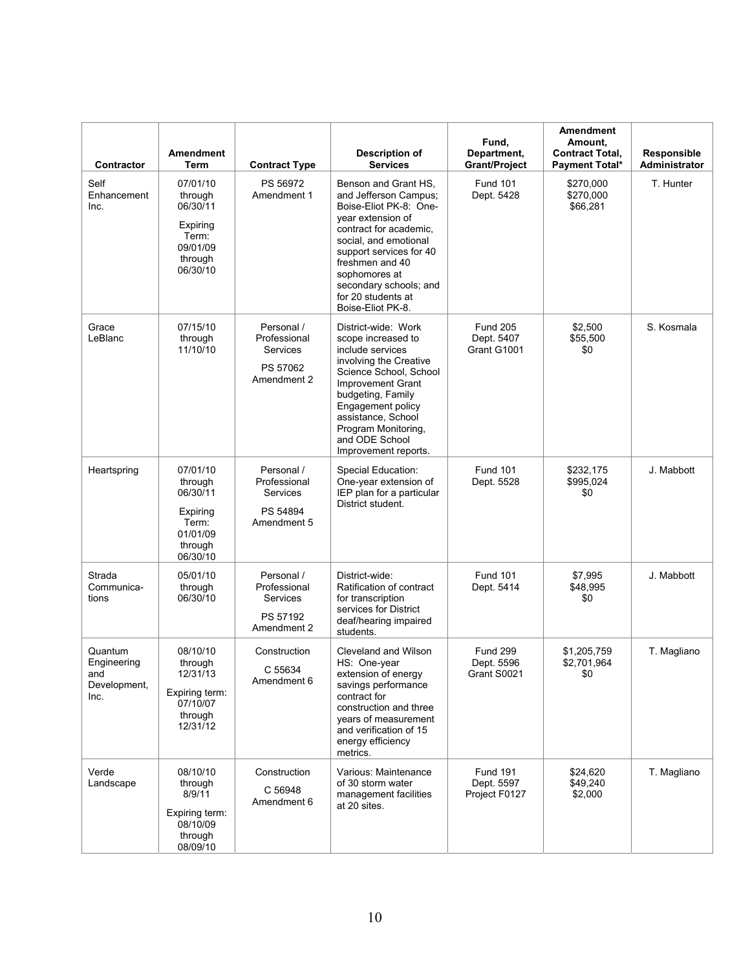| Contractor                                            | <b>Amendment</b><br>Term                                                                | <b>Contract Type</b>                                              | <b>Description of</b><br><b>Services</b>                                                                                                                                                                                                                                            | Fund,<br>Department,<br><b>Grant/Project</b>   | <b>Amendment</b><br>Amount.<br><b>Contract Total,</b><br><b>Payment Total*</b> | Responsible<br>Administrator |
|-------------------------------------------------------|-----------------------------------------------------------------------------------------|-------------------------------------------------------------------|-------------------------------------------------------------------------------------------------------------------------------------------------------------------------------------------------------------------------------------------------------------------------------------|------------------------------------------------|--------------------------------------------------------------------------------|------------------------------|
| Self<br>Enhancement<br>Inc.                           | 07/01/10<br>through<br>06/30/11<br>Expiring<br>Term:<br>09/01/09<br>through<br>06/30/10 | PS 56972<br>Amendment 1                                           | Benson and Grant HS,<br>and Jefferson Campus;<br>Boise-Eliot PK-8: One-<br>year extension of<br>contract for academic,<br>social, and emotional<br>support services for 40<br>freshmen and 40<br>sophomores at<br>secondary schools; and<br>for 20 students at<br>Boise-Eliot PK-8. | <b>Fund 101</b><br>Dept. 5428                  | \$270,000<br>\$270,000<br>\$66,281                                             | T. Hunter                    |
| Grace<br>LeBlanc                                      | 07/15/10<br>through<br>11/10/10                                                         | Personal /<br>Professional<br>Services<br>PS 57062<br>Amendment 2 | District-wide: Work<br>scope increased to<br>include services<br>involving the Creative<br>Science School, School<br><b>Improvement Grant</b><br>budgeting, Family<br>Engagement policy<br>assistance, School<br>Program Monitoring,<br>and ODE School<br>Improvement reports.      | <b>Fund 205</b><br>Dept. 5407<br>Grant G1001   | \$2,500<br>\$55,500<br>\$0                                                     | S. Kosmala                   |
| Heartspring                                           | 07/01/10<br>through<br>06/30/11<br>Expiring<br>Term:<br>01/01/09<br>through<br>06/30/10 | Personal /<br>Professional<br>Services<br>PS 54894<br>Amendment 5 | Special Education:<br>One-year extension of<br>IEP plan for a particular<br>District student.                                                                                                                                                                                       | <b>Fund 101</b><br>Dept. 5528                  | \$232,175<br>\$995,024<br>\$0                                                  | J. Mabbott                   |
| Strada<br>Communica-<br>tions                         | 05/01/10<br>through<br>06/30/10                                                         | Personal /<br>Professional<br>Services<br>PS 57192<br>Amendment 2 | District-wide:<br>Ratification of contract<br>for transcription<br>services for District<br>deaf/hearing impaired<br>students.                                                                                                                                                      | <b>Fund 101</b><br>Dept. 5414                  | \$7,995<br>\$48,995<br>\$0                                                     | J. Mabbott                   |
| Quantum<br>Engineering<br>and<br>Development,<br>Inc. | 08/10/10<br>through<br>12/31/13<br>Expiring term:<br>07/10/07<br>through<br>12/31/12    | Construction<br>C 55634<br>Amendment 6                            | Cleveland and Wilson<br>HS: One-year<br>extension of energy<br>savings performance<br>contract for<br>construction and three<br>years of measurement<br>and verification of 15<br>energy efficiency<br>metrics.                                                                     | <b>Fund 299</b><br>Dept. 5596<br>Grant S0021   | \$1,205,759<br>\$2,701,964<br>\$0                                              | T. Magliano                  |
| Verde<br>Landscape                                    | 08/10/10<br>through<br>8/9/11<br>Expiring term:<br>08/10/09<br>through<br>08/09/10      | Construction<br>C 56948<br>Amendment 6                            | Various: Maintenance<br>of 30 storm water<br>management facilities<br>at 20 sites.                                                                                                                                                                                                  | <b>Fund 191</b><br>Dept. 5597<br>Project F0127 | \$24,620<br>\$49,240<br>\$2,000                                                | T. Magliano                  |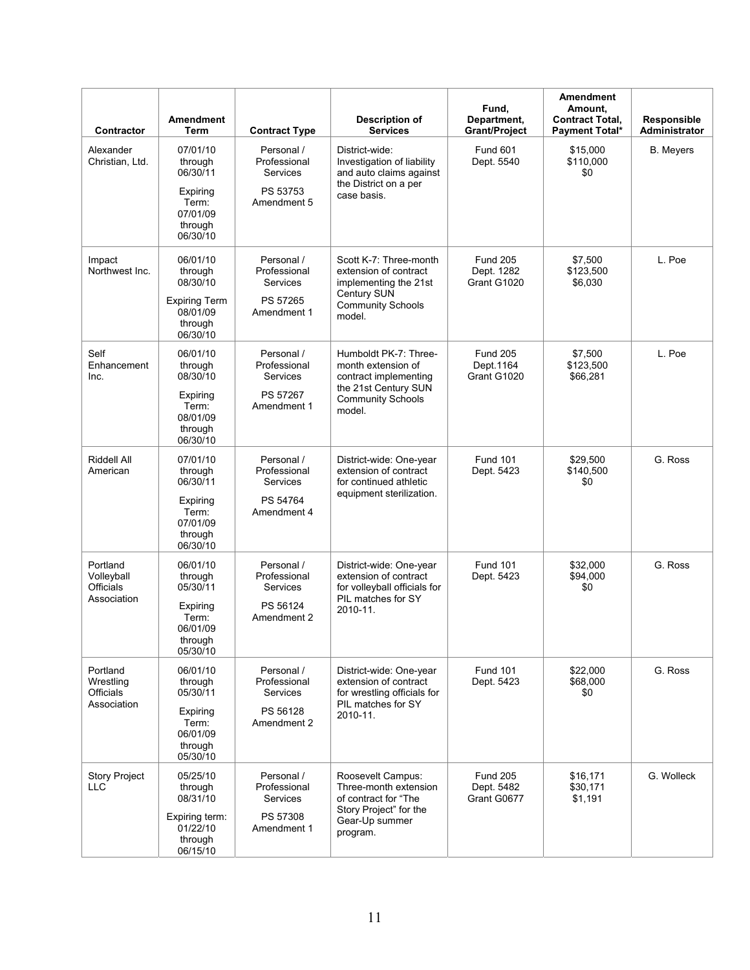| Contractor                                               | <b>Amendment</b><br>Term                                | <b>Contract Type</b>                          | Description of<br><b>Services</b>                                                                                                  | Fund,<br>Department.<br><b>Grant/Project</b> | <b>Amendment</b><br>Amount,<br><b>Contract Total,</b><br><b>Payment Total*</b> | Responsible<br>Administrator |
|----------------------------------------------------------|---------------------------------------------------------|-----------------------------------------------|------------------------------------------------------------------------------------------------------------------------------------|----------------------------------------------|--------------------------------------------------------------------------------|------------------------------|
| Alexander<br>Christian, Ltd.                             | 07/01/10<br>through<br>06/30/11                         | Personal /<br>Professional<br><b>Services</b> | District-wide:<br>Investigation of liability<br>and auto claims against                                                            | <b>Fund 601</b><br>Dept. 5540                | \$15,000<br>\$110,000<br>\$0                                                   | <b>B.</b> Meyers             |
|                                                          | Expiring<br>Term:<br>07/01/09<br>through<br>06/30/10    | PS 53753<br>Amendment 5                       | the District on a per<br>case basis.                                                                                               |                                              |                                                                                |                              |
| Impact<br>Northwest Inc.                                 | 06/01/10<br>through<br>08/30/10                         | Personal /<br>Professional<br>Services        | Scott K-7: Three-month<br>extension of contract<br>implementing the 21st<br>Century SUN                                            | <b>Fund 205</b><br>Dept. 1282<br>Grant G1020 | \$7,500<br>\$123,500<br>\$6,030                                                | L. Poe                       |
|                                                          | <b>Expiring Term</b><br>08/01/09<br>through<br>06/30/10 | PS 57265<br>Amendment 1                       | <b>Community Schools</b><br>model.                                                                                                 |                                              |                                                                                |                              |
| Self<br>Enhancement<br>Inc.                              | 06/01/10<br>through<br>08/30/10                         | Personal /<br>Professional<br><b>Services</b> | Humboldt PK-7: Three-<br>month extension of<br>contract implementing<br>the 21st Century SUN<br><b>Community Schools</b><br>model. | <b>Fund 205</b><br>Dept.1164<br>Grant G1020  | \$7,500<br>\$123,500<br>\$66,281                                               | L. Poe                       |
|                                                          | Expiring<br>Term:<br>08/01/09<br>through<br>06/30/10    | PS 57267<br>Amendment 1                       |                                                                                                                                    |                                              |                                                                                |                              |
| Riddell All<br>American                                  | 07/01/10<br>through<br>06/30/11                         | Personal /<br>Professional<br>Services        | District-wide: One-year<br>extension of contract<br>for continued athletic                                                         | <b>Fund 101</b><br>Dept. 5423                | \$29,500<br>\$140,500<br>\$0                                                   | G. Ross                      |
|                                                          | Expiring<br>Term:<br>07/01/09<br>through<br>06/30/10    | PS 54764<br>Amendment 4                       | equipment sterilization.                                                                                                           |                                              |                                                                                |                              |
| Portland<br>Volleyball<br>Officials<br>Association       | 06/01/10<br>through<br>05/30/11                         | Personal /<br>Professional<br>Services        | District-wide: One-year<br>extension of contract<br>for volleyball officials for<br>PIL matches for SY                             | <b>Fund 101</b><br>Dept. 5423                | \$32,000<br>\$94,000<br>\$0                                                    | G. Ross                      |
|                                                          | Expiring<br>Term:<br>06/01/09<br>through<br>05/30/10    | PS 56124<br>Amendment 2                       | 2010-11.                                                                                                                           |                                              |                                                                                |                              |
| Portland<br>Wrestling<br><b>Officials</b><br>Association | 06/01/10<br>through<br>05/30/11                         | Personal /<br>Professional<br>Services        | District-wide: One-year<br>extension of contract<br>for wrestling officials for                                                    | <b>Fund 101</b><br>Dept. 5423                | \$22,000<br>\$68,000<br>\$0                                                    | G. Ross                      |
|                                                          | Expiring<br>Term:<br>06/01/09<br>through<br>05/30/10    | PS 56128<br>Amendment 2                       | PIL matches for SY<br>2010-11.                                                                                                     |                                              |                                                                                |                              |
| Story Project<br><b>LLC</b>                              | 05/25/10<br>through<br>08/31/10                         | Personal /<br>Professional<br>Services        | Roosevelt Campus:<br>Three-month extension<br>of contract for "The<br>Story Project" for the                                       | <b>Fund 205</b><br>Dept. 5482<br>Grant G0677 | \$16,171<br>\$30,171<br>\$1,191                                                | G. Wolleck                   |
|                                                          | Expiring term:<br>01/22/10<br>through<br>06/15/10       | PS 57308<br>Amendment 1                       | Gear-Up summer<br>program.                                                                                                         |                                              |                                                                                |                              |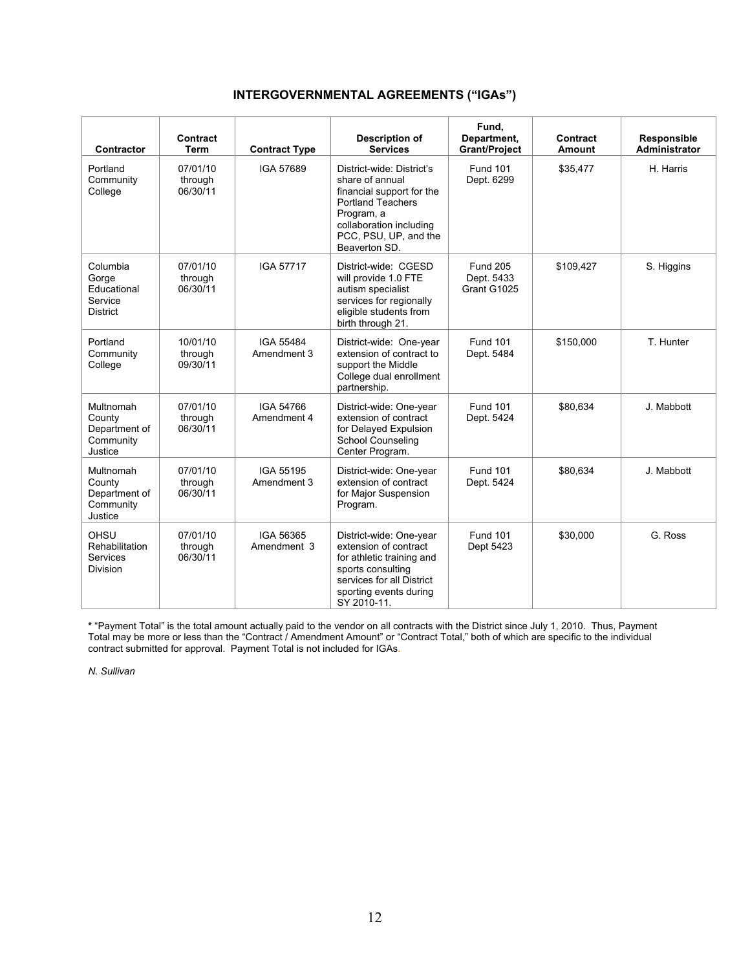# **INTERGOVERNMENTAL AGREEMENTS ("IGAs")**

| Contractor                                                     | Contract<br>Term                | <b>Contract Type</b>     | <b>Description of</b><br><b>Services</b>                                                                                                                                                 | Fund.<br>Department,<br><b>Grant/Project</b> | Contract<br><b>Amount</b> | Responsible<br><b>Administrator</b> |
|----------------------------------------------------------------|---------------------------------|--------------------------|------------------------------------------------------------------------------------------------------------------------------------------------------------------------------------------|----------------------------------------------|---------------------------|-------------------------------------|
| Portland<br>Community<br>College                               | 07/01/10<br>through<br>06/30/11 | IGA 57689                | District-wide: District's<br>share of annual<br>financial support for the<br><b>Portland Teachers</b><br>Program, a<br>collaboration including<br>PCC, PSU, UP, and the<br>Beaverton SD. | <b>Fund 101</b><br>Dept. 6299                | \$35,477                  | H. Harris                           |
| Columbia<br>Gorge<br>Educational<br>Service<br><b>District</b> | 07/01/10<br>through<br>06/30/11 | <b>IGA 57717</b>         | District-wide: CGESD<br>will provide 1.0 FTE<br>autism specialist<br>services for regionally<br>eligible students from<br>birth through 21.                                              | <b>Fund 205</b><br>Dept. 5433<br>Grant G1025 | \$109,427                 | S. Higgins                          |
| Portland<br>Community<br>College                               | 10/01/10<br>through<br>09/30/11 | IGA 55484<br>Amendment 3 | District-wide: One-year<br>extension of contract to<br>support the Middle<br>College dual enrollment<br>partnership.                                                                     | <b>Fund 101</b><br>Dept. 5484                | \$150,000                 | T. Hunter                           |
| Multnomah<br>County<br>Department of<br>Community<br>Justice   | 07/01/10<br>through<br>06/30/11 | IGA 54766<br>Amendment 4 | District-wide: One-year<br>extension of contract<br>for Delayed Expulsion<br><b>School Counseling</b><br>Center Program.                                                                 | <b>Fund 101</b><br>Dept. 5424                | \$80,634                  | J. Mabbott                          |
| Multnomah<br>County<br>Department of<br>Community<br>Justice   | 07/01/10<br>through<br>06/30/11 | IGA 55195<br>Amendment 3 | District-wide: One-year<br>extension of contract<br>for Major Suspension<br>Program.                                                                                                     | <b>Fund 101</b><br>Dept. 5424                | \$80,634                  | J. Mabbott                          |
| OHSU<br>Rehabilitation<br>Services<br>Division                 | 07/01/10<br>through<br>06/30/11 | IGA 56365<br>Amendment 3 | District-wide: One-year<br>extension of contract<br>for athletic training and<br>sports consulting<br>services for all District<br>sporting events during<br>SY 2010-11.                 | <b>Fund 101</b><br>Dept 5423                 | \$30,000                  | G. Ross                             |

**\*** "Payment Total" is the total amount actually paid to the vendor on all contracts with the District since July 1, 2010. Thus, Payment Total may be more or less than the "Contract / Amendment Amount" or "Contract Total," both of which are specific to the individual contract submitted for approval. Payment Total is not included for IGAs.

*N. Sullivan*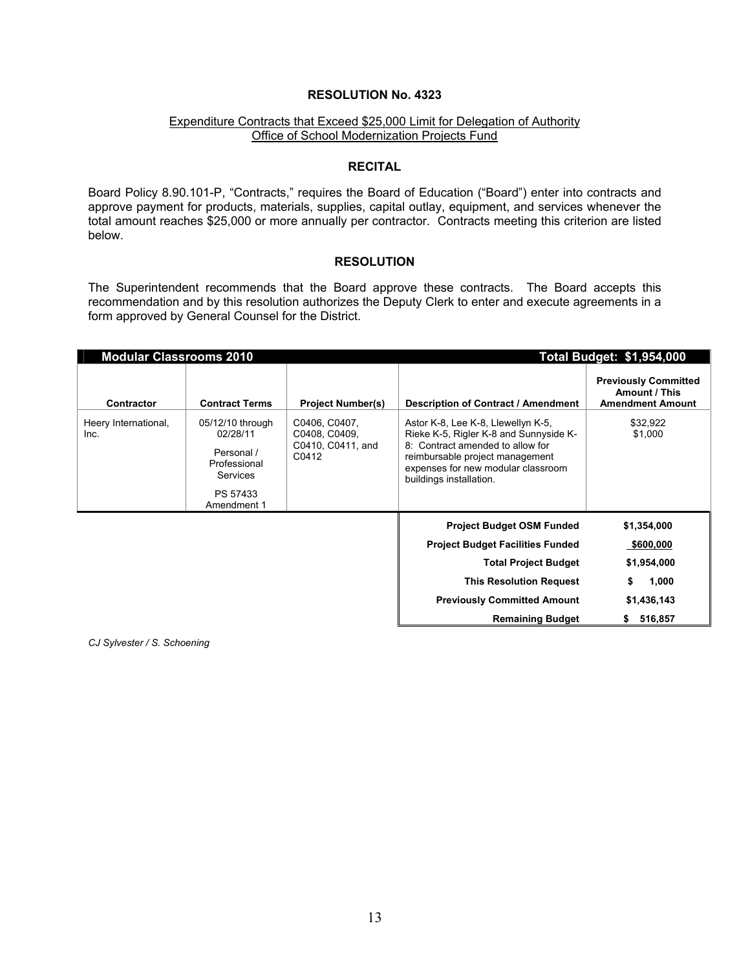#### Expenditure Contracts that Exceed \$25,000 Limit for Delegation of Authority Office of School Modernization Projects Fund

#### **RECITAL**

Board Policy 8.90.101-P, "Contracts," requires the Board of Education ("Board") enter into contracts and approve payment for products, materials, supplies, capital outlay, equipment, and services whenever the total amount reaches \$25,000 or more annually per contractor. Contracts meeting this criterion are listed below.

#### **RESOLUTION**

The Superintendent recommends that the Board approve these contracts. The Board accepts this recommendation and by this resolution authorizes the Deputy Clerk to enter and execute agreements in a form approved by General Counsel for the District.

| <b>Modular Classrooms 2010</b> |                                                                                                   |                                                              | <b>Total Budget: \$1,954,000</b>                                                                                                                                                                                     |                                                                         |  |
|--------------------------------|---------------------------------------------------------------------------------------------------|--------------------------------------------------------------|----------------------------------------------------------------------------------------------------------------------------------------------------------------------------------------------------------------------|-------------------------------------------------------------------------|--|
| Contractor                     | <b>Contract Terms</b>                                                                             | <b>Project Number(s)</b>                                     | Description of Contract / Amendment                                                                                                                                                                                  | <b>Previously Committed</b><br>Amount / This<br><b>Amendment Amount</b> |  |
| Heery International,<br>Inc.   | 05/12/10 through<br>02/28/11<br>Personal /<br>Professional<br>Services<br>PS 57433<br>Amendment 1 | C0406, C0407,<br>C0408, C0409,<br>C0410, C0411, and<br>C0412 | Astor K-8, Lee K-8, Llewellyn K-5,<br>Rieke K-5, Rigler K-8 and Sunnyside K-<br>8: Contract amended to allow for<br>reimbursable project management<br>expenses for new modular classroom<br>buildings installation. | \$32,922<br>\$1,000                                                     |  |
|                                |                                                                                                   |                                                              | <b>Project Budget OSM Funded</b><br><b>Project Budget Facilities Funded</b>                                                                                                                                          | \$1,354,000<br><u>\$600,000</u>                                         |  |
|                                |                                                                                                   |                                                              | <b>Total Project Budget</b>                                                                                                                                                                                          | \$1,954,000                                                             |  |
|                                |                                                                                                   |                                                              | <b>This Resolution Request</b>                                                                                                                                                                                       | 1,000                                                                   |  |
|                                |                                                                                                   |                                                              | <b>Previously Committed Amount</b>                                                                                                                                                                                   | \$1,436,143                                                             |  |
|                                |                                                                                                   |                                                              | <b>Remaining Budget</b>                                                                                                                                                                                              | 516,857<br>s.                                                           |  |

*CJ Sylvester / S. Schoening*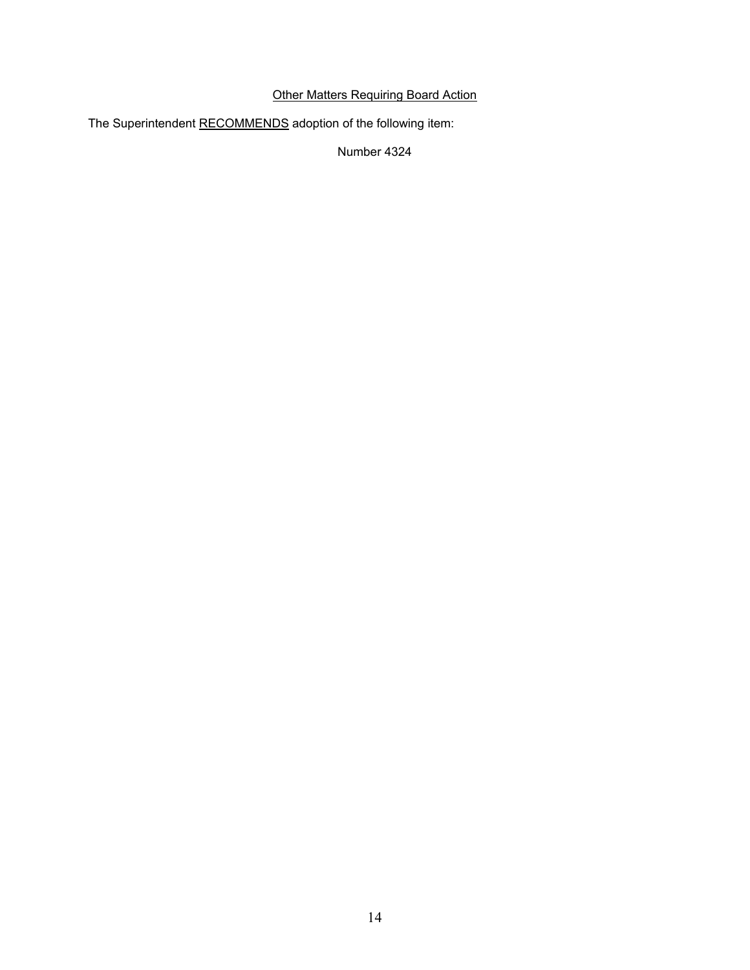# Other Matters Requiring Board Action

The Superintendent RECOMMENDS adoption of the following item:

Number 4324